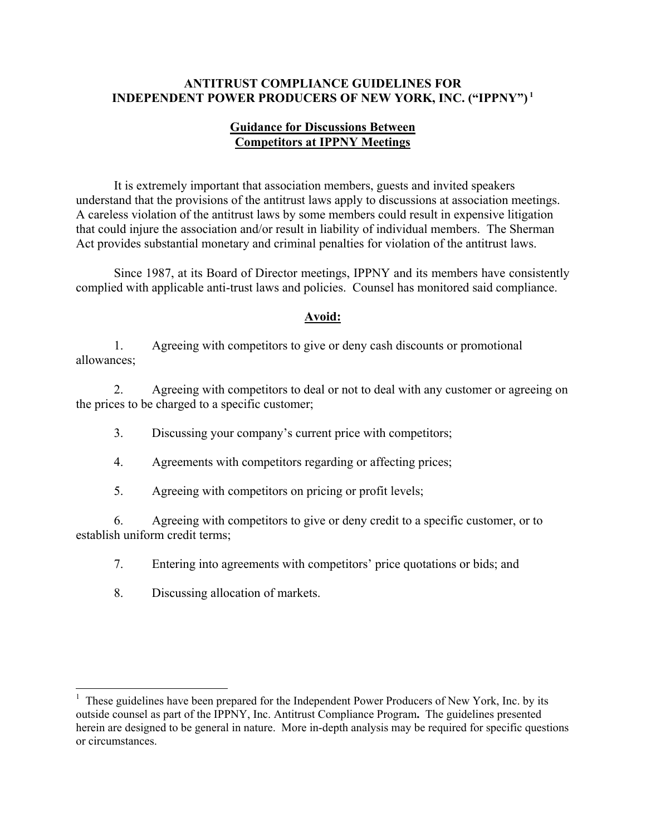### **ANTITRUST COMPLIANCE GUIDELINES FOR INDEPENDENT POWER PRODUCERS OF NEW YORK, INC. ("IPPNY") 1**

### **Guidance for Discussions Between Competitors at IPPNY Meetings**

It is extremely important that association members, guests and invited speakers understand that the provisions of the antitrust laws apply to discussions at association meetings. A careless violation of the antitrust laws by some members could result in expensive litigation that could injure the association and/or result in liability of individual members. The Sherman Act provides substantial monetary and criminal penalties for violation of the antitrust laws.

 Since 1987, at its Board of Director meetings, IPPNY and its members have consistently complied with applicable anti-trust laws and policies. Counsel has monitored said compliance.

### **Avoid:**

 1. Agreeing with competitors to give or deny cash discounts or promotional allowances;

2. Agreeing with competitors to deal or not to deal with any customer or agreeing on the prices to be charged to a specific customer;

- 3. Discussing your company's current price with competitors;
- 4. Agreements with competitors regarding or affecting prices;
- 5. Agreeing with competitors on pricing or profit levels;

6. Agreeing with competitors to give or deny credit to a specific customer, or to establish uniform credit terms;

- 7. Entering into agreements with competitors' price quotations or bids; and
- 8. Discussing allocation of markets.

 $\overline{a}$ 

 $<sup>1</sup>$  These guidelines have been prepared for the Independent Power Producers of New York, Inc. by its</sup> outside counsel as part of the IPPNY, Inc. Antitrust Compliance Program**.** The guidelines presented herein are designed to be general in nature. More in-depth analysis may be required for specific questions or circumstances.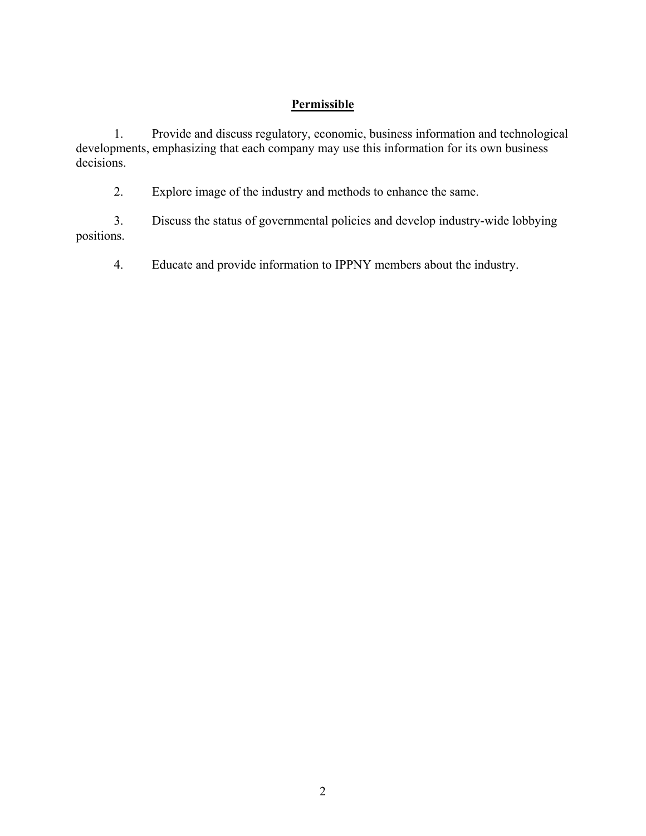# **Permissible**

1. Provide and discuss regulatory, economic, business information and technological developments, emphasizing that each company may use this information for its own business decisions.

2. Explore image of the industry and methods to enhance the same.

3. Discuss the status of governmental policies and develop industry-wide lobbying positions.

4. Educate and provide information to IPPNY members about the industry.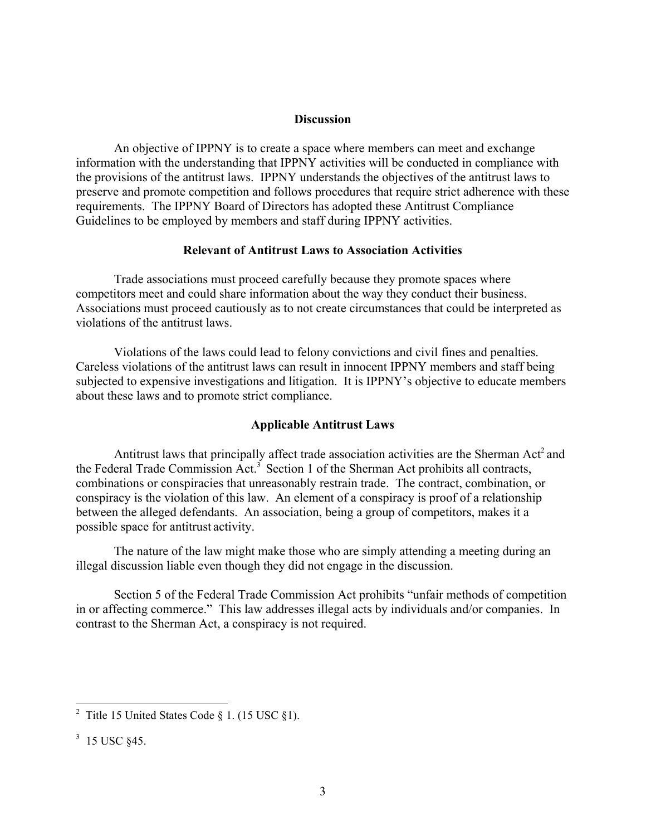#### **Discussion**

An objective of IPPNY is to create a space where members can meet and exchange information with the understanding that IPPNY activities will be conducted in compliance with the provisions of the antitrust laws. IPPNY understands the objectives of the antitrust laws to preserve and promote competition and follows procedures that require strict adherence with these requirements. The IPPNY Board of Directors has adopted these Antitrust Compliance Guidelines to be employed by members and staff during IPPNY activities.

#### **Relevant of Antitrust Laws to Association Activities**

Trade associations must proceed carefully because they promote spaces where competitors meet and could share information about the way they conduct their business. Associations must proceed cautiously as to not create circumstances that could be interpreted as violations of the antitrust laws.

Violations of the laws could lead to felony convictions and civil fines and penalties. Careless violations of the antitrust laws can result in innocent IPPNY members and staff being subjected to expensive investigations and litigation. It is IPPNY's objective to educate members about these laws and to promote strict compliance.

### **Applicable Antitrust Laws**

Antitrust laws that principally affect trade association activities are the Sherman Act<sup>2</sup> and the Federal Trade Commission  $\text{Act.}^3$  Section 1 of the Sherman Act prohibits all contracts, combinations or conspiracies that unreasonably restrain trade. The contract, combination, or conspiracy is the violation of this law. An element of a conspiracy is proof of a relationship between the alleged defendants. An association, being a group of competitors, makes it a possible space for antitrust activity.

The nature of the law might make those who are simply attending a meeting during an illegal discussion liable even though they did not engage in the discussion.

Section 5 of the Federal Trade Commission Act prohibits "unfair methods of competition in or affecting commerce." This law addresses illegal acts by individuals and/or companies. In contrast to the Sherman Act, a conspiracy is not required.

<sup>&</sup>lt;sup>2</sup> Title 15 United States Code § 1. (15 USC § 1).

 $3\,$  15 USC §45.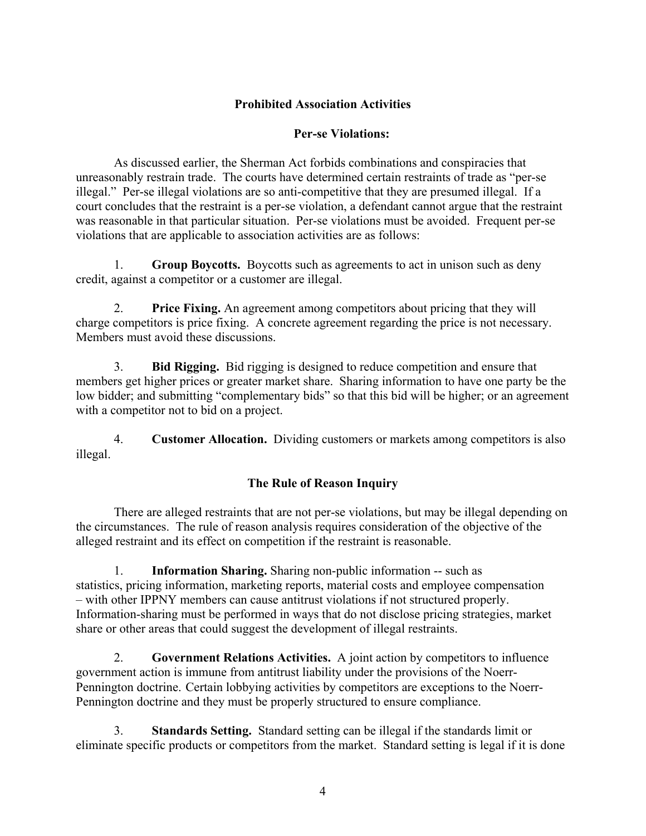## **Prohibited Association Activities**

## **Per-se Violations:**

As discussed earlier, the Sherman Act forbids combinations and conspiracies that unreasonably restrain trade. The courts have determined certain restraints of trade as "per-se illegal." Per-se illegal violations are so anti-competitive that they are presumed illegal. If a court concludes that the restraint is a per-se violation, a defendant cannot argue that the restraint was reasonable in that particular situation. Per-se violations must be avoided. Frequent per-se violations that are applicable to association activities are as follows:

1. **Group Boycotts.** Boycotts such as agreements to act in unison such as deny credit, against a competitor or a customer are illegal.

2. **Price Fixing.** An agreement among competitors about pricing that they will charge competitors is price fixing. A concrete agreement regarding the price is not necessary. Members must avoid these discussions.

3. **Bid Rigging.** Bid rigging is designed to reduce competition and ensure that members get higher prices or greater market share. Sharing information to have one party be the low bidder; and submitting "complementary bids" so that this bid will be higher; or an agreement with a competitor not to bid on a project.

4. **Customer Allocation.** Dividing customers or markets among competitors is also illegal.

## **The Rule of Reason Inquiry**

There are alleged restraints that are not per-se violations, but may be illegal depending on the circumstances. The rule of reason analysis requires consideration of the objective of the alleged restraint and its effect on competition if the restraint is reasonable.

1. **Information Sharing.** Sharing non-public information -- such as statistics, pricing information, marketing reports, material costs and employee compensation – with other IPPNY members can cause antitrust violations if not structured properly. Information-sharing must be performed in ways that do not disclose pricing strategies, market share or other areas that could suggest the development of illegal restraints.

2. **Government Relations Activities.** A joint action by competitors to influence government action is immune from antitrust liability under the provisions of the Noerr-Pennington doctrine. Certain lobbying activities by competitors are exceptions to the Noerr-Pennington doctrine and they must be properly structured to ensure compliance.

3. **Standards Setting.** Standard setting can be illegal if the standards limit or eliminate specific products or competitors from the market. Standard setting is legal if it is done